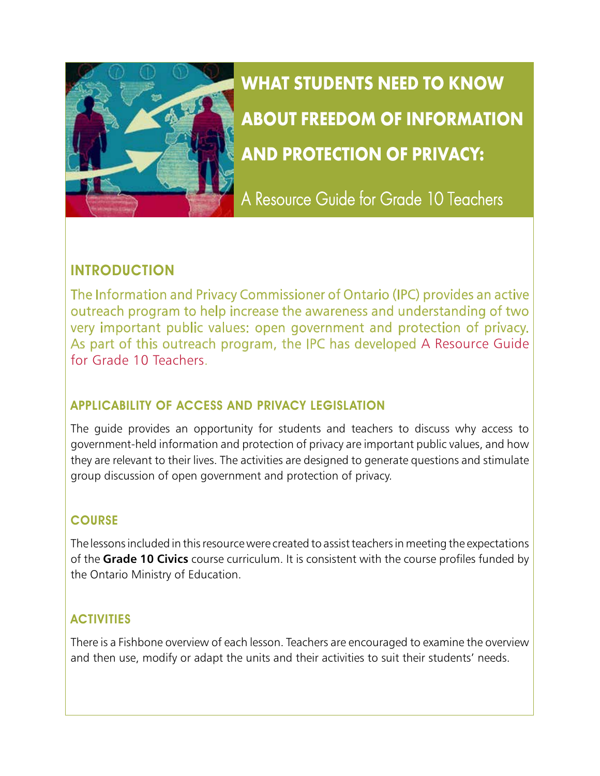

**WHAT STUDENTS NEED TO KNOW ABOUT FREEDOM OF INFORMATION AND PROTECTION OF PRIVACY:** 

A Resource Guide for Grade 10 Teachers

# INTRODUCTION

The Information and Privacy Commissioner of Ontario (IPC) provides an active outreach program to help increase the awareness and understanding of two very important public values: open government and protection of privacy. As part of this outreach program, the IPC has developed [A Resource Guide](http://www.ipc.on.ca/English/Resources/Educational-Material/Educational-Material-Summary/?id=184) [for Grade 10 Teachers](http://www.ipc.on.ca/English/Resources/Educational-Material/Educational-Material-Summary/?id=184).

### APPLICABILITY OF ACCESS AND PRIVACY LEGISLATION

The guide provides an opportunity for students and teachers to discuss why access to government-held information and protection of privacy are important public values, and how they are relevant to their lives. The activities are designed to generate questions and stimulate group discussion of open government and protection of privacy.

### **COURSE**

The lessons included in this resource were created to assist teachers in meeting the expectations of the **Grade 10 Civics** course curriculum. It is consistent with the course profiles funded by the Ontario Ministry of Education.

# **ACTIVITIES**

There is a Fishbone overview of each lesson. Teachers are encouraged to examine the overview and then use, modify or adapt the units and their activities to suit their students' needs.